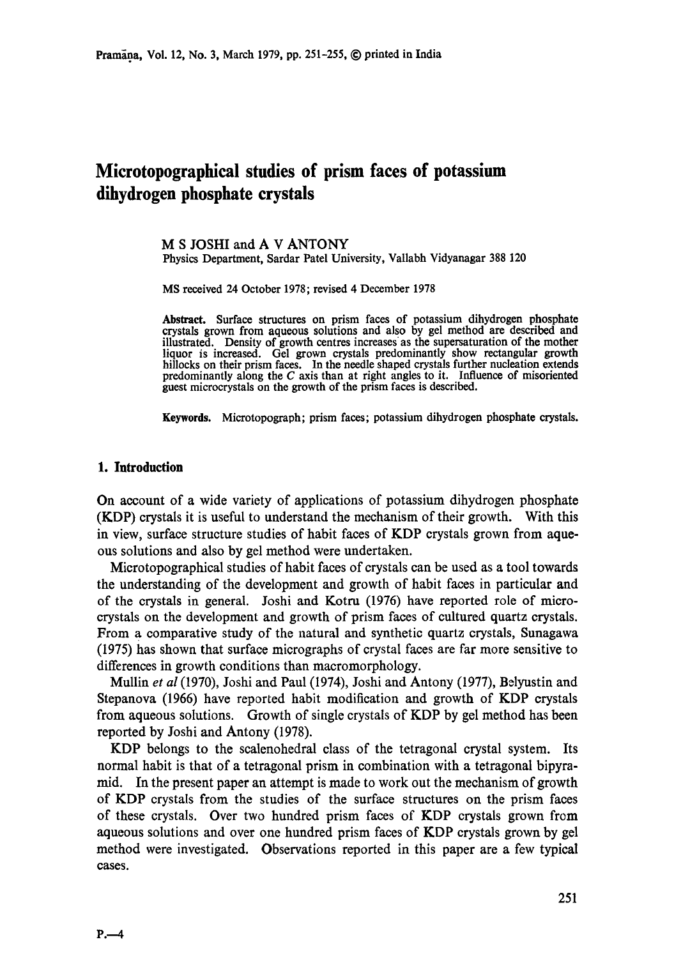# **Microtopographical studies of prism faces of potassium dihydrogen phosphate crystals**

M S JOSHI and A V ANTONY Physics Department, Sardar Patel University, Vallabh Vidyanagar 388 120

MS received 24 October 1978; revised 4 December 1978

**Abstract.** Surface structures on prism faces of potassium dihydrogen **phosphate**  crystals grown from aqueous solutions and also by gel method are described **and**  illustrated. Density of growth centres increases as the supersaturation of the mother liquor is increased. Gel grown crystals predominantly show rectangular growth hillocks on their prism faces. In the needle shaped crystals further nucleation **extends**  predominantly along the C axis than at right angles to it. Influence of misoriented guest microcrystals on the growth of the prism faces is described.

**Keywords.** Microtopograph; prism faces; potassium dihydrogen phosphate crystals.

### **1. Introduction**

On account of a wide variety of applications of potassium dihydrogen phosphate (KDP) crystals it is useful to understand the mechanism of their growth. With this in view, surface structure studies of habit faces of KDP crystals grown from aqueous solutions and also by gel method were undertaken.

Mierotopographical studies of habit faces of crystals can be used as a tool towards the understanding of the development and growth of habit faces in particular and of the crystals in general. Joshi and Kotm (1976) have reported role of microcrystals on the development and growth of prism faces of cultured quartz crystals. From a comparative study of the natural and synthetic quartz crystals, Sunagawa (1975) has shown that surface micrographs of crystal faces are far more sensitive to differences in growth conditions than macromorphology.

Mullin *et al* (1970), Joshi and Paul (1974), Joshi and Antony (1977), Belyustin and Stepanova (1966) have reported habit modification and growth of KDP crystals from aqueous solutions. Growth of single crystals of KDP by gel method has been reported by Joshi and Antony (1978).

KDP belongs to the scalenohedral class of the tetragonal crystal system. Its normal habit is that of a tetragonal prism in combination with a tetragonal bipyramid. In the present paper an attempt is made to work out the mechanism of growth of KDP crystals from the studies of the surface structures on the prism faces of these crystals. Over two hundred prism faces of KDP crystals grown from aqueous solutions and over one hundred prism faces of KDP crystals grown by gel method were investigated. Observations reported in this paper are a few typical cases.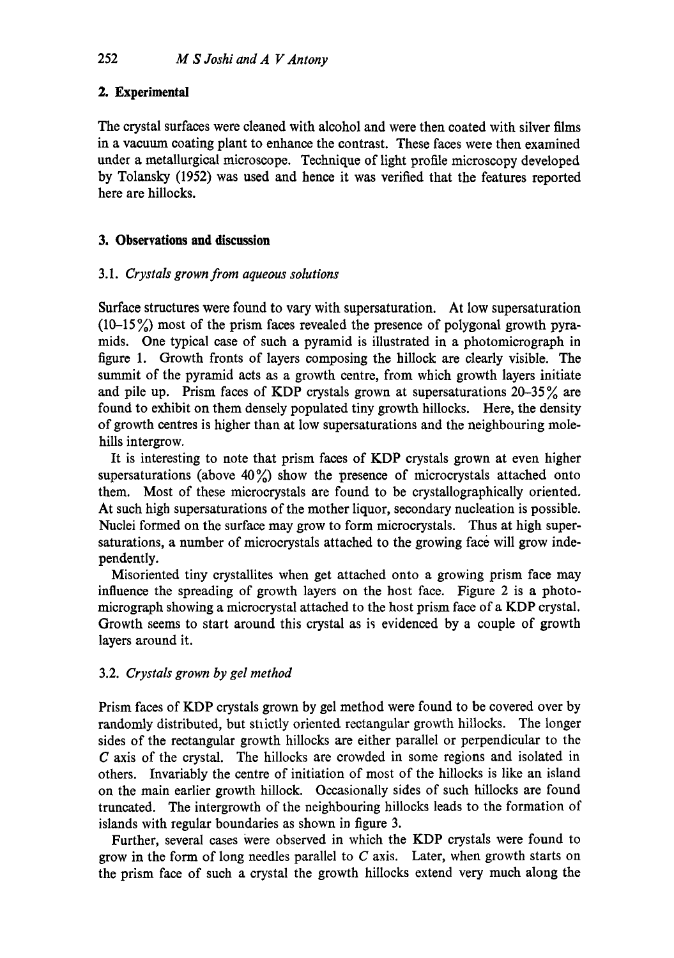## **2. Experimental**

The crystal surfaces were cleaned with alcohol and were then coated with silver films in a vacuum coating plant to enhance the contrast. These faces were then examined under a metallurgical microscope. Technique of light profile microscopy developed by Tolansky (1952) was used and hence it was verified that the features reported here are hillocks.

## **3. Observations and discussion**

## 3.1. *Crystals grown from aqueous solutions*

Surface structures were found to vary with supersaturation. At low supersaturation  $(10-15\%)$  most of the prism faces revealed the presence of polygonal growth pyramids. One typical case of such a pyramid is illustrated in a photomicrograph in figure 1. Growth fronts of layers composing the hillock are clearly visible. The summit of the pyramid acts as a growth centre, from which growth layers initiate and pile up. Prism faces of KDP crystals grown at supersaturations  $20-35\%$  are found to exhibit on them densely populated tiny growth hillocks. Here, the density of growth centres is higher than at low supersaturations and the neighbouring molehills intergrow.

It is interesting to note that prism faces of KDP crystals grown at even higher supersaturations (above  $40\%$ ) show the presence of microcrystals attached onto them. Most of these microerystals are found to be crystallographically oriented. At such high supersaturations of the mother liquor, secondary nucleation is possible. Nuclei formed on the surface may grow to form microcrystals. Thus at high supersaturations, a number of mieroerystals attached to the growing face will grow independently.

Misoriented tiny erystallites when get attached onto a growing prism face may influence the spreading of growth layers on the host face. Figure 2 is a photomierograph showing a microerystal attached to the host prism face of a KDP crystal. Growth seems to start around this crystal as is evidenced by a couple of growth layers around it.

## 3.2. *Crystals grown by gel method*

Prism faces of KDP crystals grown by gel method were found to be covered over by randomly distributed, but strictly oriented rectangular growth hillocks. The longer sides of the rectangular growth hillocks are either parallel or perpendicular to the C axis of the crystal. The hillocks are crowded in some regions and isolated in others. Invariably the centre of initiation of most of the hillocks is like an island on the main earlier growth hillock. Occasionally sides of such hillocks are found truncated. The intergrowth of the neighbouring hillocks leads to the formation of islands with regular boundaries as shown in figure 3.

Further, several cases Were observed in which the KDP crystals were found to grow in the form of long needles parallel to  $C$  axis. Later, when growth starts on the prism face of such a crystal the growth hillocks extend very much along the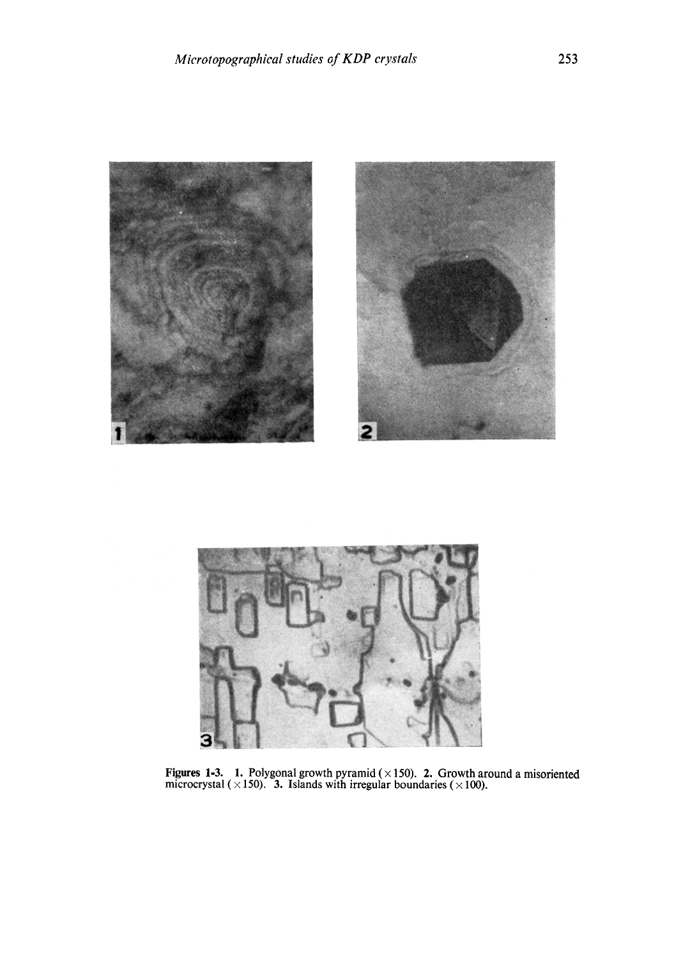



**Figures 1-3. 1. Polygonal growth pyramid ( x 150). 2. Growth around a misoriented**  microcrystal  $(\times 150)$ . 3. Islands with irregular boundaries  $(\times 100)$ .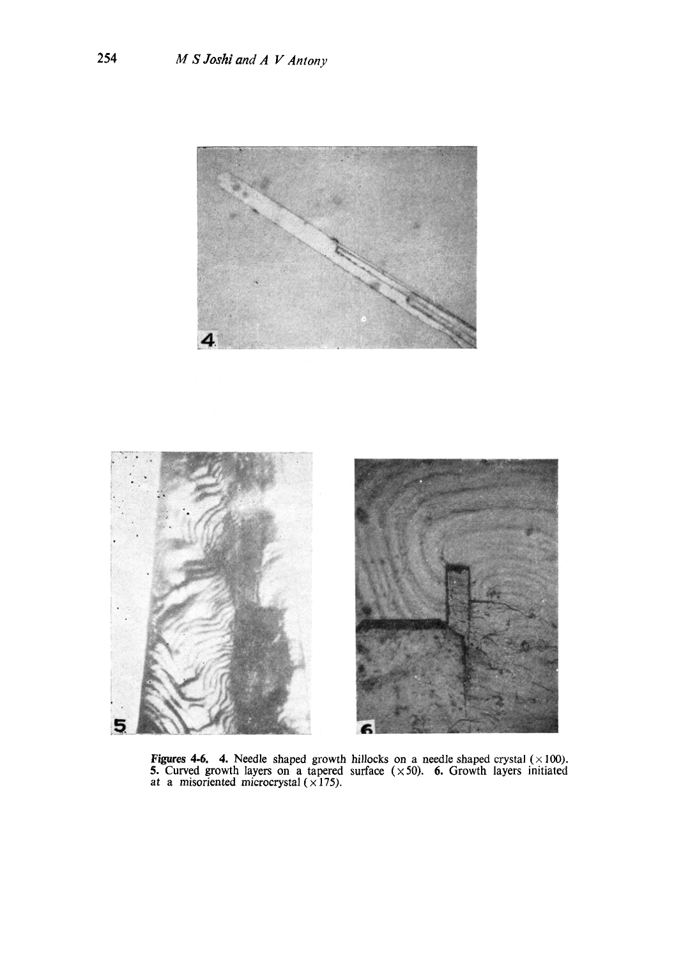

**Figures 4-6.** 4. Needle shaped growth hillocks on a needle shaped crystal ( $\times$ 100). 5. Curved growth layers on a tapered surface  $(\times 50)$ . 6. Growth layers initiated at a misoriented microcrystal  $(\times 175)$ .